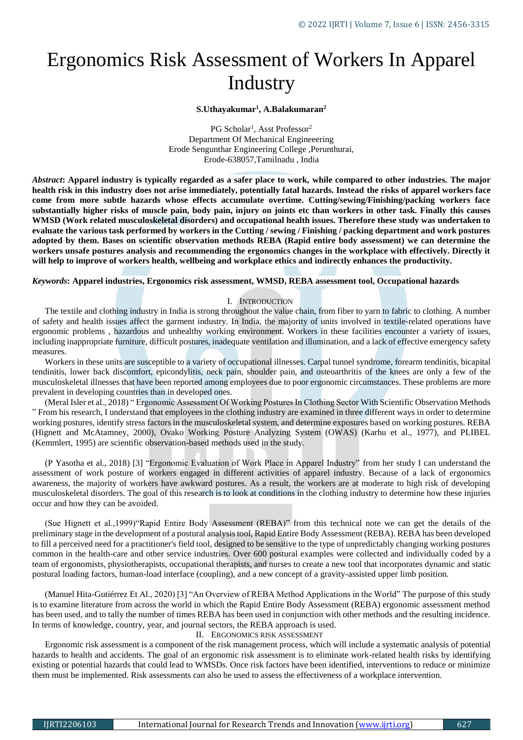# Ergonomics Risk Assessment of Workers In Apparel **Industry**

**S.Uthayakumar<sup>1</sup> , A.Balakumaran<sup>2</sup>**

PG Scholar<sup>1</sup>, Asst Professor<sup>2</sup> Department Of Mechanical Engineeering Erode Sengunthar Engineering College ,Perunthurai, Erode-638057,Tamilnadu , India

*Abstract***: Apparel industry is typically regarded as a safer place to work, while compared to other industries. The major health risk in this industry does not arise immediately, potentially fatal hazards. Instead the risks of apparel workers face come from more subtle hazards whose effects accumulate overtime. Cutting/sewing/Finishing/packing workers face substantially higher risks of muscle pain, body pain, injury on joints etc than workers in other task. Finally this causes WMSD (Work related musculoskeletal disorders) and occupational health issues. Therefore these study was undertaken to evaluate the various task performed by workers in the Cutting / sewing / Finishing / packing department and work postures adopted by them. Bases on scientific observation methods REBA (Rapid entire body assessment) we can determine the workers unsafe postures analysis and recommending the ergonomics changes in the workplace with effectively. Directly it will help to improve of workers health, wellbeing and workplace ethics and indirectly enhances the productivity.**

## *Keywords***: Apparel industries, Ergonomics risk assessment, WMSD, REBA assessment tool, Occupational hazards**

#### I. INTRODUCTION

The textile and clothing industry in India is strong throughout the value chain, from fiber to yarn to fabric to clothing. A number of safety and health issues affect the garment industry. In India, the majority of units involved in textile-related operations have ergonomic problems , hazardous and unhealthy working environment. Workers in these facilities encounter a variety of issues, including inappropriate furniture, difficult postures, inadequate ventilation and illumination, and a lack of effective emergency safety measures.

Workers in these units are susceptible to a variety of occupational illnesses. Carpal tunnel syndrome, forearm tendinitis, bicapital tendinitis, lower back discomfort, epicondylitis, neck pain, shoulder pain, and osteoarthritis of the knees are only a few of the musculoskeletal illnesses that have been reported among employees due to poor ergonomic circumstances. These problems are more prevalent in developing countries than in developed ones.

(Meral Isler et al., 2018) " Ergonomic Assessment Of Working Postures In Clothing Sector With Scientific Observation Methods " From his research, I understand that employees in the clothing industry are examined in three different ways in order to determine working postures, identify stress factors in the musculoskeletal system, and determine exposures based on working postures. REBA (Hignett and McAtamney, 2000), Ovako Working Posture Analyzing System (OWAS) (Karhu et al., 1977), and PLIBEL (Kemmlert, 1995) are scientific observation-based methods used in the study.

(P Yasotha et al., 2018) [3] "Ergonomic Evaluation of Work Place in Apparel Industry" from her study I can understand the assessment of work posture of workers engaged in different activities of apparel industry. Because of a lack of ergonomics awareness, the majority of workers have awkward postures. As a result, the workers are at moderate to high risk of developing musculoskeletal disorders. The goal of this research is to look at conditions in the clothing industry to determine how these injuries occur and how they can be avoided.

(Sue Hignett et al.,1999)"Rapid Entire Body Assessment (REBA)" from this technical note we can get the details of the preliminary stage in the development of a postural analysis tool, Rapid Entire Body Assessment (REBA). REBA has been developed to fill a perceived need for a practitioner's field tool, designed to be sensitive to the type of unpredictably changing working postures common in the health-care and other service industries. Over 600 postural examples were collected and individually coded by a team of ergonomists, physiotherapists, occupational therapists, and nurses to create a new tool that incorporates dynamic and static postural loading factors, human-load interface (coupling), and a new concept of a gravity-assisted upper limb position.

(Manuel Hita-Gutiérrez Et Al., 2020) [3] "An Overview of REBA Method Applications in the World" The purpose of this study is to examine literature from across the world in which the Rapid Entire Body Assessment (REBA) ergonomic assessment method has been used, and to tally the number of times REBA has been used in conjunction with other methods and the resulting incidence. In terms of knowledge, country, year, and journal sectors, the REBA approach is used.

## II. ERGONOMICS RISK ASSESSMENT

Ergonomic risk assessment is a component of the risk management process, which will include a systematic analysis of potential hazards to health and accidents. The goal of an ergonomic risk assessment is to eliminate work-related health risks by identifying existing or potential hazards that could lead to WMSDs. Once risk factors have been identified, interventions to reduce or minimize them must be implemented. Risk assessments can also be used to assess the effectiveness of a workplace intervention.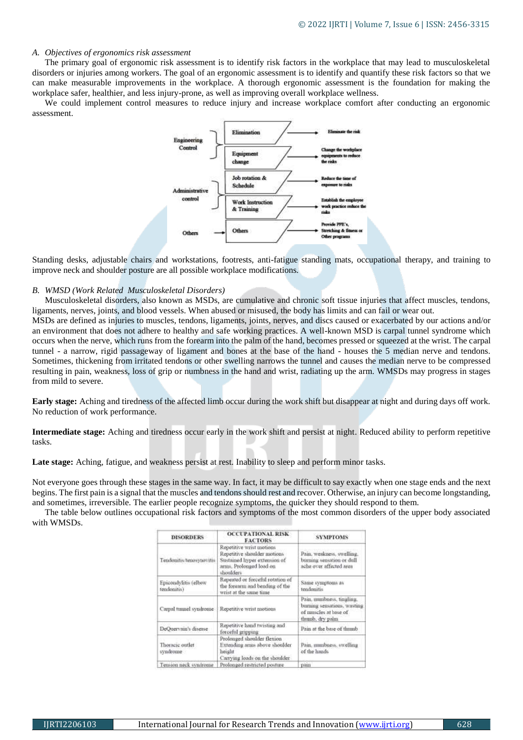#### *A. Objectives of ergonomics risk assessment*

The primary goal of ergonomic risk assessment is to identify risk factors in the workplace that may lead to musculoskeletal disorders or injuries among workers. The goal of an ergonomic assessment is to identify and quantify these risk factors so that we can make measurable improvements in the workplace. A thorough ergonomic assessment is the foundation for making the workplace safer, healthier, and less injury-prone, as well as improving overall workplace wellness.

We could implement control measures to reduce injury and increase workplace comfort after conducting an ergonomic assessment.



Standing desks, adjustable chairs and workstations, footrests, anti-fatigue standing mats, occupational therapy, and training to improve neck and shoulder posture are all possible workplace modifications.

#### *B. WMSD (Work Related Musculoskeletal Disorders)*

Musculoskeletal disorders, also known as MSDs, are cumulative and chronic soft tissue injuries that affect muscles, tendons, ligaments, nerves, joints, and blood vessels. When abused or misused, the body has limits and can fail or wear out.

MSDs are defined as injuries to muscles, tendons, ligaments, joints, nerves, and discs caused or exacerbated by our actions and/or an environment that does not adhere to healthy and safe working practices. A well-known MSD is carpal tunnel syndrome which occurs when the nerve, which runs from the forearm into the palm of the hand, becomes pressed or squeezed at the wrist. The carpal tunnel - a narrow, rigid passageway of ligament and bones at the base of the hand - houses the 5 median nerve and tendons. Sometimes, thickening from irritated tendons or other swelling narrows the tunnel and causes the median nerve to be compressed resulting in pain, weakness, loss of grip or numbness in the hand and wrist, radiating up the arm. WMSDs may progress in stages from mild to severe.

**Early stage:** Aching and tiredness of the affected limb occur during the work shift but disappear at night and during days off work. No reduction of work performance.

**Intermediate stage:** Aching and tiredness occur early in the work shift and persist at night. Reduced ability to perform repetitive tasks.

Late stage: Aching, fatigue, and weakness persist at rest. Inability to sleep and perform minor tasks.

Not everyone goes through these stages in the same way. In fact, it may be difficult to say exactly when one stage ends and the next begins. The first pain is a signal that the muscles and tendons should rest and recover. Otherwise, an injury can become longstanding, and sometimes, irreversible. The earlier people recognize symptoms, the quicker they should respond to them.

The table below outlines occupational risk factors and symptoms of the most common disorders of the upper body associated with WMSDs.

| <b>DISORDERS</b>                                                                                                                       | <b>OCCUPATIONAL RISK</b><br><b>FACTORS</b>                                                                                       | <b>SYMPTOMS</b><br>Pain, weakness, swelling,<br>burning sensation or dull<br>ache over affected area<br>Same symptoms as<br>tendonitis |  |  |
|----------------------------------------------------------------------------------------------------------------------------------------|----------------------------------------------------------------------------------------------------------------------------------|----------------------------------------------------------------------------------------------------------------------------------------|--|--|
| Tendonitis/tenosynovitis                                                                                                               | Repetitive wrist motions<br>Repetitive shoulder motions<br>Sustained hyper extension of<br>arms, Prolonged load on<br>shoulders. |                                                                                                                                        |  |  |
| Epicoudylitis (elbow<br>tendonitis)                                                                                                    | Repeated or forceful rotation of<br>the forearm and bending of the<br>wrist at the same time.                                    |                                                                                                                                        |  |  |
| Carpal tunnel syndrome                                                                                                                 | Repetitive wrist motions                                                                                                         | Pain, munbuess, tingling.<br>burning sensations, wasting<br>of muscles at base of<br>thumb, dry palm                                   |  |  |
| DeQuervain's disease                                                                                                                   | Repetitive hand twisting and<br>forceful gripping                                                                                | Pain at the base of thumb                                                                                                              |  |  |
| Prolonged shoulder flexion<br>Thoracic outlet<br>Extending arms above shoulder<br>heisht<br>syndrome<br>Carrying loads on the shoulder |                                                                                                                                  | Pain, munbness, swelling<br>of the hands.                                                                                              |  |  |
| Tension neck syndrome                                                                                                                  | Prolonged restricted posture                                                                                                     | pain                                                                                                                                   |  |  |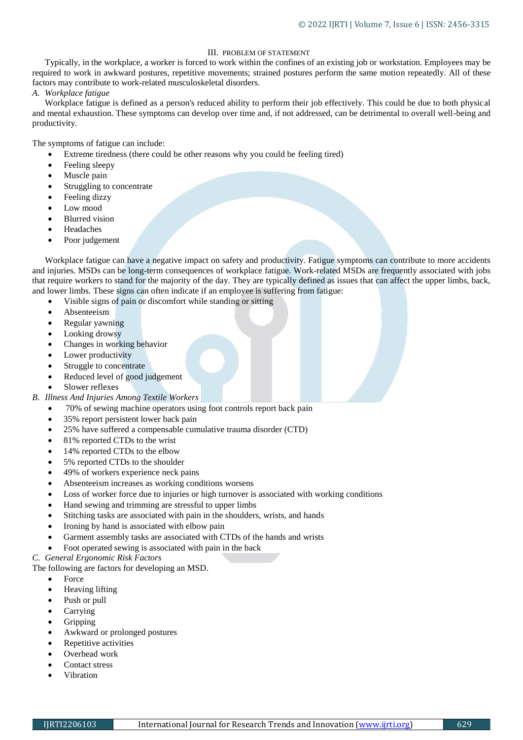# III. PROBLEM OF STATEMENT

Typically, in the workplace, a worker is forced to work within the confines of an existing job or workstation. Employees may be required to work in awkward postures, repetitive movements; strained postures perform the same motion repeatedly. All of these factors may contribute to work-related musculoskeletal disorders.

*A. Workplace fatigue*

Workplace fatigue is defined as a person's reduced ability to perform their job effectively. This could be due to both physical and mental exhaustion. These symptoms can develop over time and, if not addressed, can be detrimental to overall well-being and productivity.

The symptoms of fatigue can include:

- Extreme tiredness (there could be other reasons why you could be [feeling tired\)](https://www.nhs.uk/live-well/sleep-and-tiredness/10-medical-reasons-for-feeling-tired/)
- Feeling sleepy
- Muscle pain
- Struggling to concentrate
- Feeling dizzy
- Low mood
- Blurred vision
- Headaches
- Poor judgement

Workplace fatigue can have a negative impact on safety and productivity. Fatigue symptoms can contribute to more accidents and injuries. MSDs can be long-term consequences of workplace fatigue. Work-related MSDs are frequently associated with jobs that require workers to stand for the majority of the day. They are typically defined as issues that can affect the upper limbs, back, and lower limbs. These signs can often indicate if an employee is suffering from fatigue:

- Visible signs of pain or discomfort while standing or sitting
- Absenteeism
- Regular yawning
- Looking drowsy
- Changes in working behavior
- Lower productivity
- Struggle to concentrate
- Reduced level of good judgement
- Slower reflexes
- *B. Illness And Injuries Among Textile Workers*
	- 70% of sewing machine operators using foot controls report back pain
	- 35% report persistent lower back pain
	- 25% have suffered a compensable cumulative trauma disorder (CTD)
	- 81% reported CTDs to the wrist
	- 14% reported CTDs to the elbow
	- 5% reported CTDs to the shoulder
	- 49% of workers experience neck pains
	- Absenteeism increases as working conditions worsens
	- Loss of worker force due to injuries or high turnover is associated with working conditions
	- Hand sewing and trimming are stressful to upper limbs
	- Stitching tasks are associated with pain in the shoulders, wrists, and hands
	- Ironing by hand is associated with elbow pain
	- Garment assembly tasks are associated with CTDs of the hands and wrists
	- Foot operated sewing is associated with pain in the back

# *C. General Ergonomic Risk Factors*

# The following are factors for developing an MSD.

- Force
- Heaving lifting
- Push or pull
- Carrying
- Gripping
- Awkward or prolonged postures
- Repetitive activities
- Overhead work
- Contact stress
- Vibration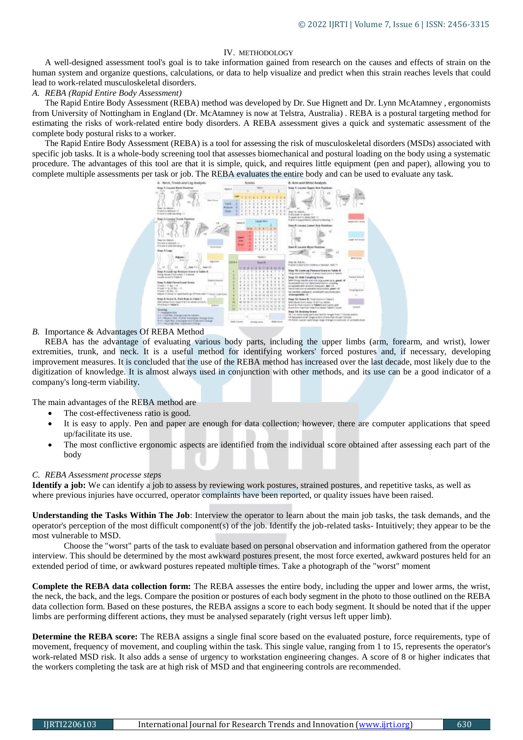## IV. METHODOLOGY

A well-designed assessment tool's goal is to take information gained from research on the causes and effects of strain on the human system and organize questions, calculations, or data to help visualize and predict when this strain reaches levels that could lead to work-related musculoskeletal disorders.

## *A. REBA (Rapid Entire Body Assessment)*

The Rapid Entire Body Assessment (REBA) method was developed by Dr. Sue Hignett and [Dr. Lynn McAtamney](mailto:McAtamney,%20Lynn%20[Lynn.McAtamney@team.telstra.com]?subject=REBA) , ergonomists from University of Nottingham in England (Dr. McAtamney is now at Telstra, Australia) . REBA is a postural targeting method for estimating the risks of work-related entire body disorders. A REBA assessment gives a quick and systematic assessment of the complete body postural risks to a worker.

The Rapid Entire Body Assessment (REBA) is a tool for assessing the risk of musculoskeletal disorders (MSDs) associated with specific job tasks. It is a whole-body screening tool that assesses biomechanical and postural loading on the body using a systematic procedure. The advantages of this tool are that it is simple, quick, and requires little equipment (pen and paper), allowing you to complete multiple assessments per task or job. The REBA evaluates the entire body and can be used to evaluate any task.



## *B.* Importance & Advantages Of REBA Method

REBA has the advantage of evaluating various body parts, including the upper limbs (arm, forearm, and wrist), lower extremities, trunk, and neck. It is a useful method for identifying workers' forced postures and, if necessary, developing improvement measures. It is concluded that the use of the REBA method has increased over the last decade, most likely due to the digitization of knowledge. It is almost always used in conjunction with other methods, and its use can be a good indicator of a company's long-term viability.

The main advantages of the REBA method are

- The cost-effectiveness ratio is good.
- It is easy to apply. Pen and paper are enough for data collection; however, there are computer applications that speed up/facilitate its use.
- The most conflictive ergonomic aspects are identified from the individual score obtained after assessing each part of the body

## *C. REBA Assessment processe steps*

**Identify a job:** We can identify a job to assess by reviewing work postures, strained postures, and repetitive tasks, as well as where previous injuries have occurred, operator complaints have been reported, or quality issues have been raised.

**Understanding the Tasks Within The Job**: Interview the operator to learn about the main job tasks, the task demands, and the operator's perception of the most difficult component(s) of the job. Identify the job-related tasks- Intuitively; they appear to be the most vulnerable to MSD.

Choose the "worst" parts of the task to evaluate based on personal observation and information gathered from the operator interview. This should be determined by the most awkward postures present, the most force exerted, awkward postures held for an extended period of time, or awkward postures repeated multiple times. Take a photograph of the "worst" moment

**Complete the REBA data collection form:** The REBA assesses the entire body, including the upper and lower arms, the wrist, the neck, the back, and the legs. Compare the position or postures of each body segment in the photo to those outlined on the REBA data collection form. Based on these postures, the REBA assigns a score to each body segment. It should be noted that if the upper limbs are performing different actions, they must be analysed separately (right versus left upper limb).

**Determine the REBA score:** The REBA assigns a single final score based on the evaluated posture, force requirements, type of movement, frequency of movement, and coupling within the task. This single value, ranging from 1 to 15, represents the operator's work-related MSD risk. It also adds a sense of urgency to workstation engineering changes. A score of 8 or higher indicates that the workers completing the task are at high risk of MSD and that engineering controls are recommended.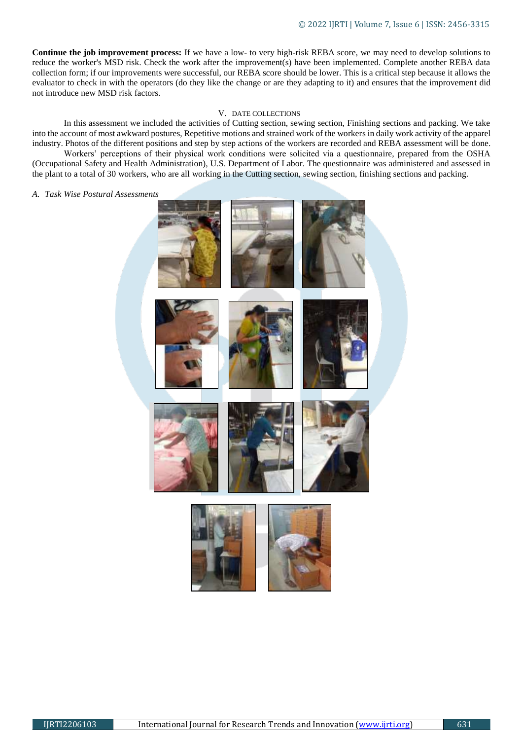**Continue the job improvement process:** If we have a low- to very high-risk REBA score, we may need to develop solutions to reduce the worker's MSD risk. Check the work after the improvement(s) have been implemented. Complete another REBA data collection form; if our improvements were successful, our REBA score should be lower. This is a critical step because it allows the evaluator to check in with the operators (do they like the change or are they adapting to it) and ensures that the improvement did not introduce new MSD risk factors.

#### V. DATE COLLECTIONS

In this assessment we included the activities of Cutting section, sewing section, Finishing sections and packing. We take into the account of most awkward postures, Repetitive motions and strained work of the workers in daily work activity of the apparel industry. Photos of the different positions and step by step actions of the workers are recorded and REBA assessment will be done.

Workers' perceptions of their physical work conditions were solicited via a questionnaire, prepared from the OSHA (Occupational Safety and Health Administration), U.S. Department of Labor. The questionnaire was administered and assessed in the plant to a total of 30 workers, who are all working in the Cutting section, sewing section, finishing sections and packing.

#### *A. Task Wise Postural Assessments*

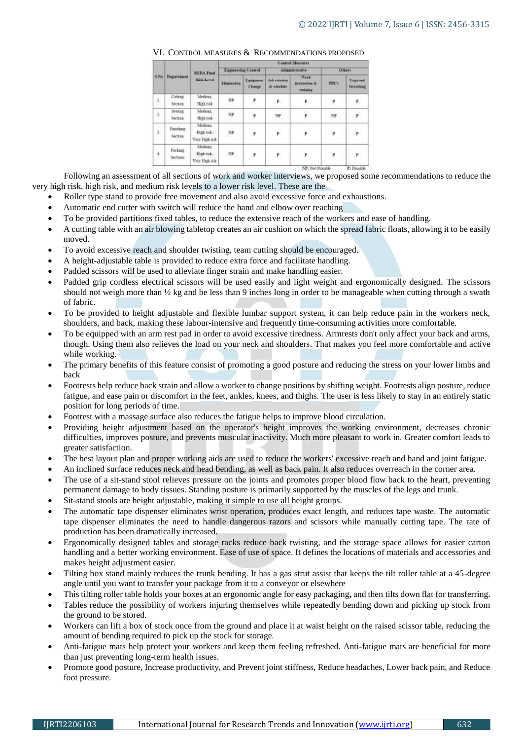| <b>Department</b><br>3N <sub>0</sub> | <b>BERA Final</b><br>Rick Level         | <b>Cancel Measures</b>    |                          |                          |                                               |               |                                      |
|--------------------------------------|-----------------------------------------|---------------------------|--------------------------|--------------------------|-----------------------------------------------|---------------|--------------------------------------|
|                                      |                                         | <b>Engineering Course</b> |                          | Adaptaintentive          |                                               | <b>Oflart</b> |                                      |
|                                      |                                         | <b>Elistantes</b>         | Equipment<br><b>СМФР</b> | Juli rotation<br>& where | <b>Week</b><br>terrarius &<br><b>Training</b> | PPE's         | <b>Yngs and</b><br><b>Stretching</b> |
| Cutting<br>Section                   | Medians:<br>High risk                   | NP.<br>173                | $\pmb{r}$                | P.                       | P,                                            | $\cdot$       | $\mathbf{r}_\mathrm{c}$              |
| Sewing:<br>Section                   | Medinin<br>High risk                    | $_{\rm NP}$               | $\bar{\mathbf{r}}$       | 2259<br><b>SP</b>        | é                                             | N             | ¥,                                   |
| Finishing<br>Section:                | Medium<br>High risk<br>Very High rock   | NP.                       | ÷,                       | P                        | P                                             | R             | F                                    |
| Package<br>Sections.                 | Medium.<br>High risk<br>Very High risk: | NP.                       | ×                        | $\mathbf{P}$             | P                                             | P             | P                                    |
|                                      |                                         |                           |                          |                          |                                               |               |                                      |

## VI. CONTROL MEASURES & RECOMMENDATIONS PROPOSED

Following an assessment of all sections of work and worker interviews, we proposed some recommendations to reduce the very high risk, high risk, and medium risk levels to a lower risk level. These are the

- Roller type stand to provide free movement and also avoid excessive force and exhaustions.
- Automatic end cutter with switch will reduce the hand and elbow over reaching
- To be provided partitions fixed tables, to reduce the extensive reach of the workers and ease of handling.
- A cutting table with an air blowing tabletop creates an air cushion on which the spread fabric floats, allowing it to be easily moved.
- To avoid excessive reach and shoulder twisting, team cutting should be encouraged.
- A height-adjustable table is provided to reduce extra force and facilitate handling.
- Padded scissors will be used to alleviate finger strain and make handling easier.
- Padded grip cordless electrical scissors will be used easily and light weight and ergonomically designed. The scissors should not weigh more than ½ kg and be less than 9 inches long in order to be manageable when cutting through a swath of fabric.
- To be provided to height adjustable and flexible lumbar support system, it can help reduce pain in the workers neck, shoulders, and back, making these labour-intensive and frequently time-consuming activities more comfortable.
- To be equipped with an arm rest pad in order to avoid excessive tiredness. Armrests don't only affect your back and arms, though. Using them also relieves the load on your neck and shoulders. That makes you feel more comfortable and active while working.
- The primary benefits of this feature consist of promoting a good posture and reducing the stress on your lower limbs and back
- Footrests help reduce back strain and allow a worker to change positions by shifting weight. Footrests align posture, reduce fatigue, and ease pain or discomfort in the feet, ankles, knees, and thighs. The user is less likely to stay in an entirely static position for long periods of time.
- Footrest with a massage surface also reduces the fatigue helps to improve blood circulation.
- Providing height adjustment based on the operator's height improves the working environment, decreases chronic difficulties, improves posture, and prevents muscular inactivity. Much more pleasant to work in. Greater comfort leads to greater satisfaction.
- The best layout plan and proper working aids are used to reduce the workers' excessive reach and hand and joint fatigue.
- An inclined surface reduces neck and head bending, as well as back pain. It also reduces overreach in the corner area.
- The use of a sit-stand stool relieves pressure on the joints and promotes proper blood flow back to the heart, preventing permanent damage to body tissues. Standing posture is primarily supported by the muscles of the legs and trunk.
- Sit-stand stools are height adjustable, making it simple to use all height groups.
- The automatic tape dispenser eliminates wrist operation, produces exact length, and reduces tape waste. The automatic tape dispenser eliminates the need to handle dangerous razors and scissors while manually cutting tape. The rate of production has been dramatically increased.
- Ergonomically designed tables and storage racks reduce back twisting, and the storage space allows for easier carton handling and a better working environment. Ease of use of space. It defines the locations of materials and accessories and makes height adjustment easier.
- Tilting box stand mainly reduces the trunk bending. It has a gas strut assist that keeps the tilt roller table at a 45-degree angle until you want to transfer your package from it to a conveyor or elsewhere
- This tilting roller table holds your boxes at an ergonomic angle for easy packaging**,** and then tilts down flat for transferring.
- Tables reduce the possibility of workers injuring themselves while repeatedly bending down and picking up stock from the ground to be stored.
- Workers can lift a box of stock once from the ground and place it at waist height on the raised scissor table, reducing the amount of bending required to pick up the stock for storage.
- Anti-fatigue mats help protect your workers and keep them feeling refreshed. Anti-fatigue mats are beneficial for more than just preventing long-term health issues.
- Promote good posture, Increase productivity, and Prevent joint stiffness, Reduce headaches, Lower back pain, and Reduce foot pressure.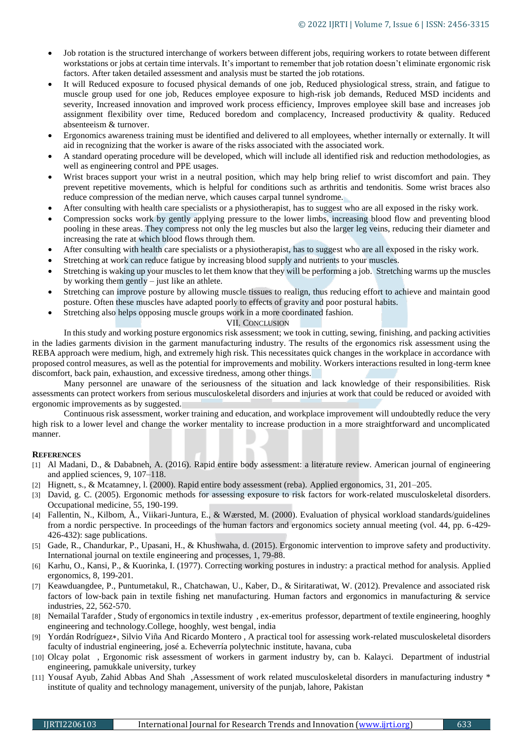- Job rotation is the structured interchange of workers between different jobs, requiring workers to rotate between different workstations or jobs at certain time intervals. It's important to remember that job rotation doesn't eliminate [ergonomic risk](https://ergo-plus.com/ergonomic-risk-factors/)  [factors.](https://ergo-plus.com/ergonomic-risk-factors/) After taken detailed assessment and analysis must be started the job rotations.
- It will Reduced exposure to focused physical demands of one job, Reduced physiological stress, strain, and fatigue to muscle group used for one job, Reduces employee exposure to high-risk job demands, Reduced MSD incidents and severity, Increased innovation and improved work process efficiency, Improves employee skill base and increases job assignment flexibility over time, Reduced boredom and complacency, Increased productivity & quality. Reduced absenteeism & turnover.
- Ergonomics awareness training must be identified and delivered to all employees, whether internally or externally. It will aid in recognizing that the worker is aware of the risks associated with the associated work.
- A standard operating procedure will be developed, which will include all identified risk and reduction methodologies, as well as engineering control and PPE usages.
- Wrist braces support your wrist in a neutral position, which may help bring relief to wrist discomfort and pain. They prevent repetitive movements, which is helpful for conditions such as arthritis and tendonitis. Some wrist braces also reduce compression of the median nerve, which causes carpal tunnel syndrome.
- After consulting with health care specialists or a physiotherapist, has to suggest who are all exposed in the risky work.
- Compression socks work by gently applying pressure to the lower limbs, increasing blood flow and preventing blood pooling in these areas. They compress not only the leg muscles but also the larger leg veins, reducing their diameter and increasing the rate at which blood flows through them.
- After consulting with health care specialists or a physiotherapist, has to suggest who are all exposed in the risky work.
- Stretching at work can reduce fatigue by increasing blood supply and nutrients to your muscles.
- Stretching is waking up your muscles to let them know that they will be performing a job. Stretching warms up the muscles by working them gently – just like an athlete.
- Stretching can improve posture by allowing muscle tissues to realign, thus reducing effort to achieve and maintain good posture. Often these muscles have adapted poorly to effects of gravity and poor postural habits.
- Stretching also helps opposing muscle groups work in a more coordinated fashion.

# VII. CONCLUSION

In this study and working posture ergonomics risk assessment; we took in cutting, sewing, finishing, and packing activities in the ladies garments division in the garment manufacturing industry. The results of the ergonomics risk assessment using the REBA approach were medium, high, and extremely high risk. This necessitates quick changes in the workplace in accordance with proposed control measures, as well as the potential for improvements and mobility. Workers interactions resulted in long-term knee discomfort, back pain, exhaustion, and excessive tiredness, among other things.

Many personnel are unaware of the seriousness of the situation and lack knowledge of their responsibilities. Risk assessments can protect workers from serious musculoskeletal disorders and injuries at work that could be reduced or avoided with ergonomic improvements as by suggested.

Continuous risk assessment, worker training and education, and workplace improvement will undoubtedly reduce the very high risk to a lower level and change the worker mentality to increase production in a more straightforward and uncomplicated manner.

# **REFERENCES**

- [1] Al Madani, D., & Dababneh, A. (2016). Rapid entire body assessment: a literature review. American journal of engineering and applied sciences, 9, 107–118.
- [2] Hignett, s., & Mcatamney, l. (2000). Rapid entire body assessment (reba). Applied ergonomics, 31, 201–205.
- [3] David, g. C. (2005). Ergonomic methods for assessing exposure to risk factors for work-related musculoskeletal disorders. Occupational medicine, 55, 190-199.
- [4] Fallentin, N., Kilbom, Å., Viikari-Juntura, E., & Wærsted, M. (2000). Evaluation of physical workload standards/guidelines from a nordic perspective. In proceedings of the human factors and ergonomics society annual meeting (vol. 44, pp. 6-429- 426-432): sage publications.
- [5] Gade, R., Chandurkar, P., Upasani, H., & Khushwaha, d. (2015). Ergonomic intervention to improve safety and productivity. International journal on textile engineering and processes, 1, 79-88.
- [6] Karhu, O., Kansi, P., & Kuorinka, I. (1977). Correcting working postures in industry: a practical method for analysis. Applied ergonomics, 8, 199-201.
- [7] Keawduangdee, P., Puntumetakul, R., Chatchawan, U., Kaber, D., & Siritaratiwat, W. (2012). Prevalence and associated risk factors of low-back pain in textile fishing net manufacturing. Human factors and ergonomics in manufacturing & service industries, 22, 562-570.
- [8] Nemailal Tarafder , Study of ergonomics in textile industry , ex-emeritus professor, department of textile engineering, hooghly engineering and technology.College, hooghly, west bengal, india
- [9] Yordán Rodríguez∗, Silvio Viña And Ricardo Montero , A practical tool for assessing work-related musculoskeletal disorders faculty of industrial engineering, josé a. Echeverría polytechnic institute, havana, cuba
- [10] Olcay polat , Ergonomic risk assessment of workers in garment industry by, can b. Kalayci. Department of industrial engineering, pamukkale university, turkey
- [11] Yousaf Ayub, Zahid Abbas And Shah ,Assessment of work related musculoskeletal disorders in manufacturing industry \* institute of quality and technology management, university of the punjab, lahore, Pakistan